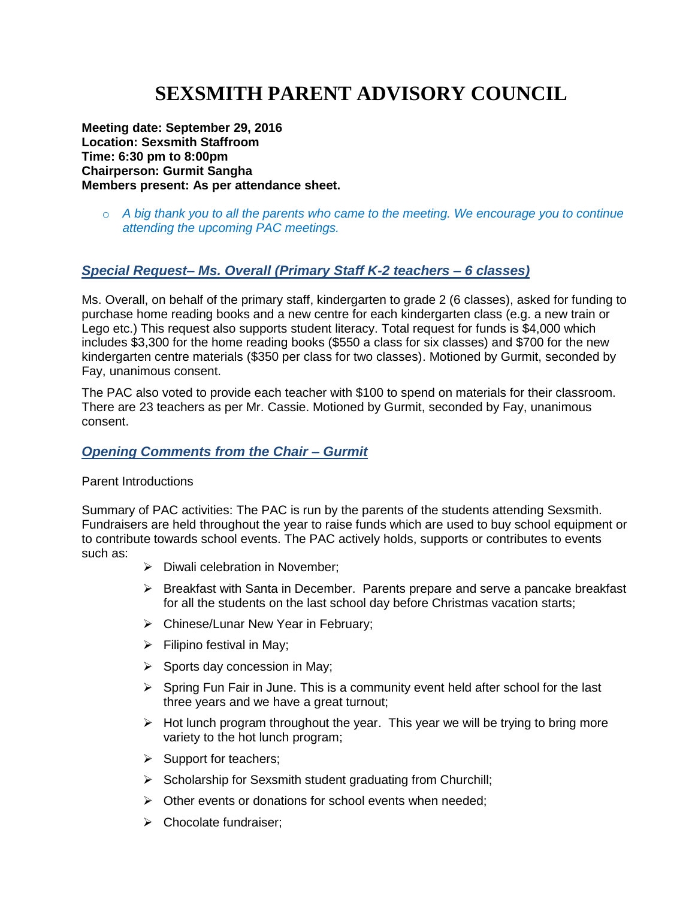# **SEXSMITH PARENT ADVISORY COUNCIL**

**Meeting date: September 29, 2016 Location: Sexsmith Staffroom Time: 6:30 pm to 8:00pm Chairperson: Gurmit Sangha Members present: As per attendance sheet.**

o *A big thank you to all the parents who came to the meeting. We encourage you to continue attending the upcoming PAC meetings.*

### *Special Request– Ms. Overall (Primary Staff K-2 teachers – 6 classes)*

Ms. Overall, on behalf of the primary staff, kindergarten to grade 2 (6 classes), asked for funding to purchase home reading books and a new centre for each kindergarten class (e.g. a new train or Lego etc.) This request also supports student literacy. Total request for funds is \$4,000 which includes \$3,300 for the home reading books (\$550 a class for six classes) and \$700 for the new kindergarten centre materials (\$350 per class for two classes). Motioned by Gurmit, seconded by Fay, unanimous consent.

The PAC also voted to provide each teacher with \$100 to spend on materials for their classroom. There are 23 teachers as per Mr. Cassie. Motioned by Gurmit, seconded by Fay, unanimous consent.

#### *Opening Comments from the Chair – Gurmit*

#### Parent Introductions

Summary of PAC activities: The PAC is run by the parents of the students attending Sexsmith. Fundraisers are held throughout the year to raise funds which are used to buy school equipment or to contribute towards school events. The PAC actively holds, supports or contributes to events such as:

- $\triangleright$  Diwali celebration in November;
- $\triangleright$  Breakfast with Santa in December. Parents prepare and serve a pancake breakfast for all the students on the last school day before Christmas vacation starts;
- > Chinese/Lunar New Year in February;
- $\triangleright$  Filipino festival in May;
- $\triangleright$  Sports day concession in May;
- $\triangleright$  Spring Fun Fair in June. This is a community event held after school for the last three years and we have a great turnout;
- $\triangleright$  Hot lunch program throughout the year. This year we will be trying to bring more variety to the hot lunch program;
- $\triangleright$  Support for teachers;
- $\triangleright$  Scholarship for Sexsmith student graduating from Churchill;
- $\triangleright$  Other events or donations for school events when needed:
- $\triangleright$  Chocolate fundraiser: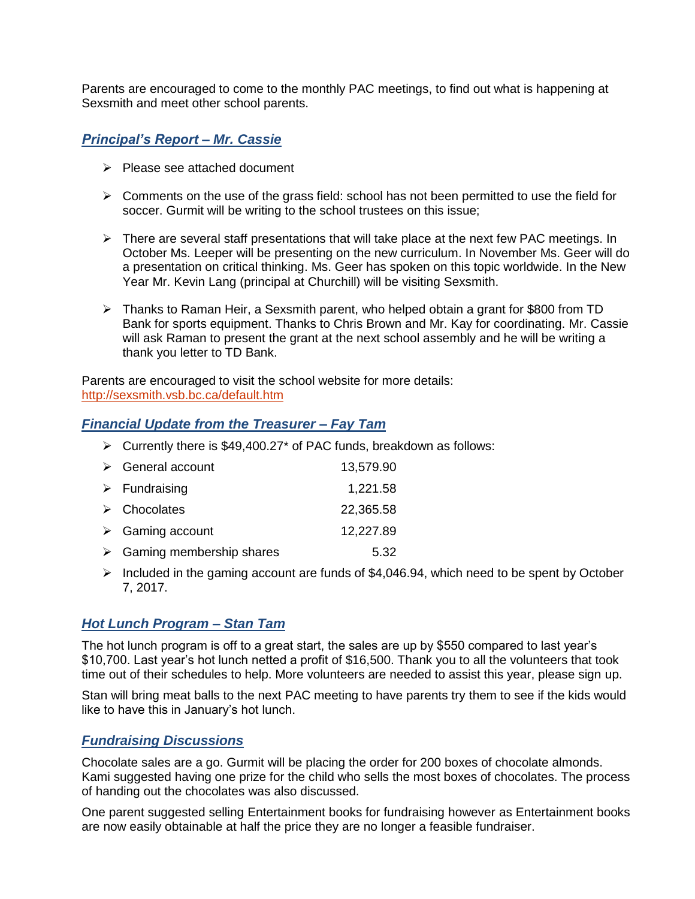Parents are encouraged to come to the monthly PAC meetings, to find out what is happening at Sexsmith and meet other school parents.

# *Principal's Report – Mr. Cassie*

- $\triangleright$  Please see attached document
- $\triangleright$  Comments on the use of the grass field: school has not been permitted to use the field for soccer. Gurmit will be writing to the school trustees on this issue;
- $\triangleright$  There are several staff presentations that will take place at the next few PAC meetings. In October Ms. Leeper will be presenting on the new curriculum. In November Ms. Geer will do a presentation on critical thinking. Ms. Geer has spoken on this topic worldwide. In the New Year Mr. Kevin Lang (principal at Churchill) will be visiting Sexsmith.
- $\triangleright$  Thanks to Raman Heir, a Sexsmith parent, who helped obtain a grant for \$800 from TD Bank for sports equipment. Thanks to Chris Brown and Mr. Kay for coordinating. Mr. Cassie will ask Raman to present the grant at the next school assembly and he will be writing a thank you letter to TD Bank.

Parents are encouraged to visit the school website for more details: <http://sexsmith.vsb.bc.ca/default.htm>

### *Financial Update from the Treasurer – Fay Tam*

 $\triangleright$  Currently there is \$49,400.27\* of PAC funds, breakdown as follows:

| $\triangleright$ General account          | 13,579.90 |
|-------------------------------------------|-----------|
| $\triangleright$ Fundraising              | 1,221.58  |
| $\triangleright$ Chocolates               | 22,365.58 |
| $\triangleright$ Gaming account           | 12,227.89 |
| $\triangleright$ Gaming membership shares | 5.32      |

Included in the gaming account are funds of \$4,046.94, which need to be spent by October 7, 2017.

# *Hot Lunch Program – Stan Tam*

The hot lunch program is off to a great start, the sales are up by \$550 compared to last year's \$10,700. Last year's hot lunch netted a profit of \$16,500. Thank you to all the volunteers that took time out of their schedules to help. More volunteers are needed to assist this year, please sign up.

Stan will bring meat balls to the next PAC meeting to have parents try them to see if the kids would like to have this in January's hot lunch.

# *Fundraising Discussions*

Chocolate sales are a go. Gurmit will be placing the order for 200 boxes of chocolate almonds. Kami suggested having one prize for the child who sells the most boxes of chocolates. The process of handing out the chocolates was also discussed.

One parent suggested selling Entertainment books for fundraising however as Entertainment books are now easily obtainable at half the price they are no longer a feasible fundraiser.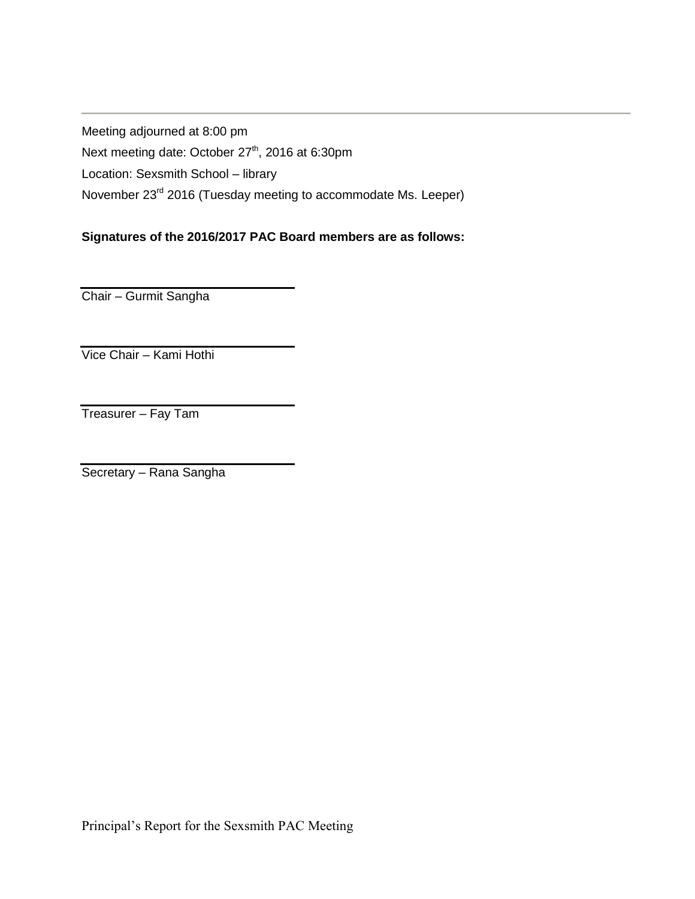Meeting adjourned at 8:00 pm Next meeting date: October 27<sup>th</sup>, 2016 at 6:30pm Location: Sexsmith School – library November 23rd 2016 (Tuesday meeting to accommodate Ms. Leeper)

# **Signatures of the 2016/2017 PAC Board members are as follows:**

Chair – Gurmit Sangha

Vice Chair – Kami Hothi

Treasurer – Fay Tam

Secretary – Rana Sangha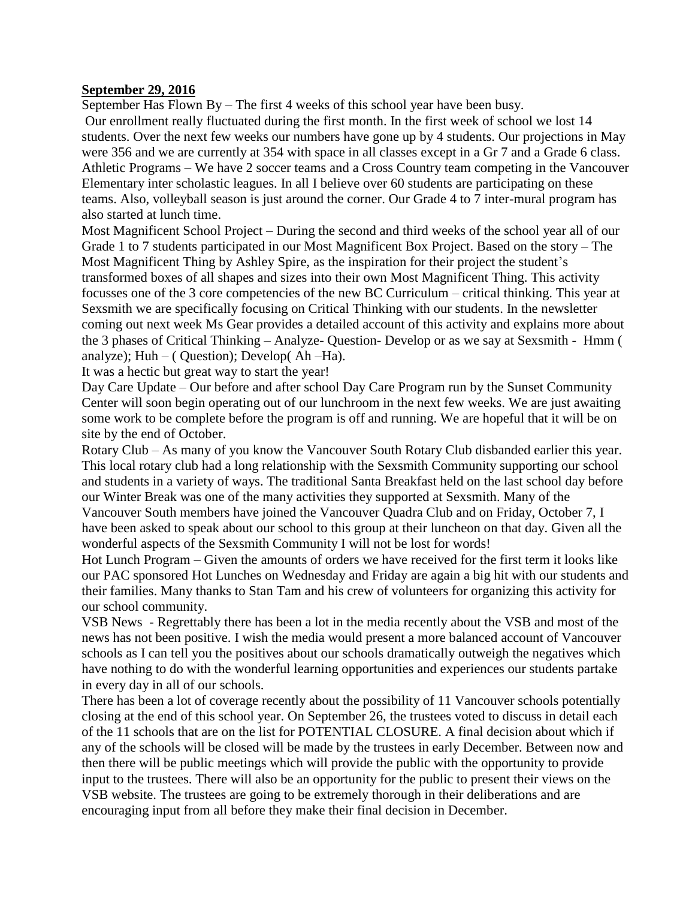#### **September 29, 2016**

September Has Flown By – The first 4 weeks of this school year have been busy.

Our enrollment really fluctuated during the first month. In the first week of school we lost 14 students. Over the next few weeks our numbers have gone up by 4 students. Our projections in May were 356 and we are currently at 354 with space in all classes except in a Gr 7 and a Grade 6 class. Athletic Programs – We have 2 soccer teams and a Cross Country team competing in the Vancouver Elementary inter scholastic leagues. In all I believe over 60 students are participating on these teams. Also, volleyball season is just around the corner. Our Grade 4 to 7 inter-mural program has also started at lunch time.

Most Magnificent School Project – During the second and third weeks of the school year all of our Grade 1 to 7 students participated in our Most Magnificent Box Project. Based on the story – The Most Magnificent Thing by Ashley Spire, as the inspiration for their project the student's transformed boxes of all shapes and sizes into their own Most Magnificent Thing. This activity focusses one of the 3 core competencies of the new BC Curriculum – critical thinking. This year at Sexsmith we are specifically focusing on Critical Thinking with our students. In the newsletter coming out next week Ms Gear provides a detailed account of this activity and explains more about the 3 phases of Critical Thinking – Analyze- Question- Develop or as we say at Sexsmith - Hmm ( analyze);  $Huh - (Question)$ ; Develop( $Ah - Ha$ ).

It was a hectic but great way to start the year!

Day Care Update – Our before and after school Day Care Program run by the Sunset Community Center will soon begin operating out of our lunchroom in the next few weeks. We are just awaiting some work to be complete before the program is off and running. We are hopeful that it will be on site by the end of October.

Rotary Club – As many of you know the Vancouver South Rotary Club disbanded earlier this year. This local rotary club had a long relationship with the Sexsmith Community supporting our school and students in a variety of ways. The traditional Santa Breakfast held on the last school day before our Winter Break was one of the many activities they supported at Sexsmith. Many of the Vancouver South members have joined the Vancouver Quadra Club and on Friday, October 7, I have been asked to speak about our school to this group at their luncheon on that day. Given all the wonderful aspects of the Sexsmith Community I will not be lost for words!

Hot Lunch Program – Given the amounts of orders we have received for the first term it looks like our PAC sponsored Hot Lunches on Wednesday and Friday are again a big hit with our students and their families. Many thanks to Stan Tam and his crew of volunteers for organizing this activity for our school community.

VSB News - Regrettably there has been a lot in the media recently about the VSB and most of the news has not been positive. I wish the media would present a more balanced account of Vancouver schools as I can tell you the positives about our schools dramatically outweigh the negatives which have nothing to do with the wonderful learning opportunities and experiences our students partake in every day in all of our schools.

There has been a lot of coverage recently about the possibility of 11 Vancouver schools potentially closing at the end of this school year. On September 26, the trustees voted to discuss in detail each of the 11 schools that are on the list for POTENTIAL CLOSURE. A final decision about which if any of the schools will be closed will be made by the trustees in early December. Between now and then there will be public meetings which will provide the public with the opportunity to provide input to the trustees. There will also be an opportunity for the public to present their views on the VSB website. The trustees are going to be extremely thorough in their deliberations and are encouraging input from all before they make their final decision in December.